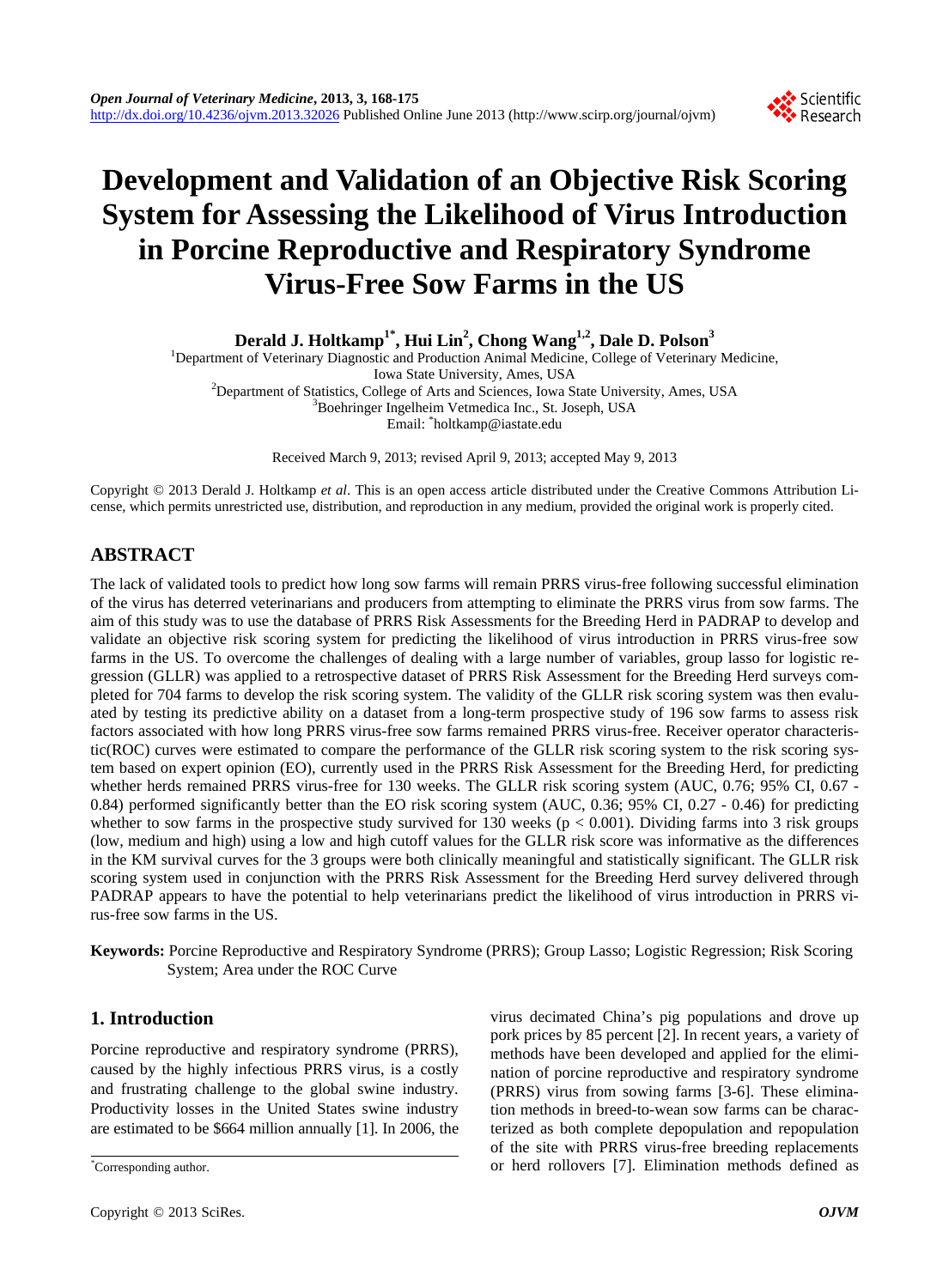## Scientific Research

# **Development and Validation of an Objective Risk Scoring System for Assessing the Likelihood of Virus Introduction in Porcine Reproductive and Respiratory Syndrome Virus-Free Sow Farms in the US**

**Derald J. Holtkamp1\*, Hui Lin2 , Chong Wang1,2, Dale D. Polson3**

<sup>1</sup>Department of Veterinary Diagnostic and Production Animal Medicine, College of Veterinary Medicine, Iowa State University, Ames, USA Department of Statistics, College of Arts and Sciences, Iowa State University, Ames, USA Boehringer Ingelheim Vetmedica Inc., St. Joseph, USA Email: \* holtkamp@iastate.edu

Received March 9, 2013; revised April 9, 2013; accepted May 9, 2013

Copyright © 2013 Derald J. Holtkamp *et al*. This is an open access article distributed under the Creative Commons Attribution License, which permits unrestricted use, distribution, and reproduction in any medium, provided the original work is properly cited.

## **ABSTRACT**

The lack of validated tools to predict how long sow farms will remain PRRS virus-free following successful elimination of the virus has deterred veterinarians and producers from attempting to eliminate the PRRS virus from sow farms. The aim of this study was to use the database of PRRS Risk Assessments for the Breeding Herd in PADRAP to develop and validate an objective risk scoring system for predicting the likelihood of virus introduction in PRRS virus-free sow farms in the US. To overcome the challenges of dealing with a large number of variables, group lasso for logistic regression (GLLR) was applied to a retrospective dataset of PRRS Risk Assessment for the Breeding Herd surveys completed for 704 farms to develop the risk scoring system. The validity of the GLLR risk scoring system was then evaluated by testing its predictive ability on a dataset from a long-term prospective study of 196 sow farms to assess risk factors associated with how long PRRS virus-free sow farms remained PRRS virus-free. Receiver operator characteristic(ROC) curves were estimated to compare the performance of the GLLR risk scoring system to the risk scoring system based on expert opinion (EO), currently used in the PRRS Risk Assessment for the Breeding Herd, for predicting whether herds remained PRRS virus-free for 130 weeks. The GLLR risk scoring system (AUC, 0.76; 95% CI, 0.67 -0.84) performed significantly better than the EO risk scoring system (AUC, 0.36; 95% CI, 0.27 - 0.46) for predicting whether to sow farms in the prospective study survived for 130 weeks ( $p < 0.001$ ). Dividing farms into 3 risk groups (low, medium and high) using a low and high cutoff values for the GLLR risk score was informative as the differences in the KM survival curves for the 3 groups were both clinically meaningful and statistically significant. The GLLR risk scoring system used in conjunction with the PRRS Risk Assessment for the Breeding Herd survey delivered through PADRAP appears to have the potential to help veterinarians predict the likelihood of virus introduction in PRRS virus-free sow farms in the US.

**Keywords:** Porcine Reproductive and Respiratory Syndrome (PRRS); Group Lasso; Logistic Regression; Risk Scoring System; Area under the ROC Curve

## **1. Introduction**

Porcine reproductive and respiratory syndrome (PRRS), caused by the highly infectious PRRS virus, is a costly and frustrating challenge to the global swine industry. Productivity losses in the United States swine industry are estimated to be \$664 million annually [1]. In 2006, the virus decimated China's pig populations and drove up pork prices by 85 percent [2]. In recent years, a variety of methods have been developed and applied for the elimination of porcine reproductive and respiratory syndrome (PRRS) virus from sowing farms [3-6]. These elimination methods in breed-to-wean sow farms can be characterized as both complete depopulation and repopulation of the site with PRRS virus-free breeding replacements or herd rollovers [7]. Elimination methods defined as \*

Corresponding author.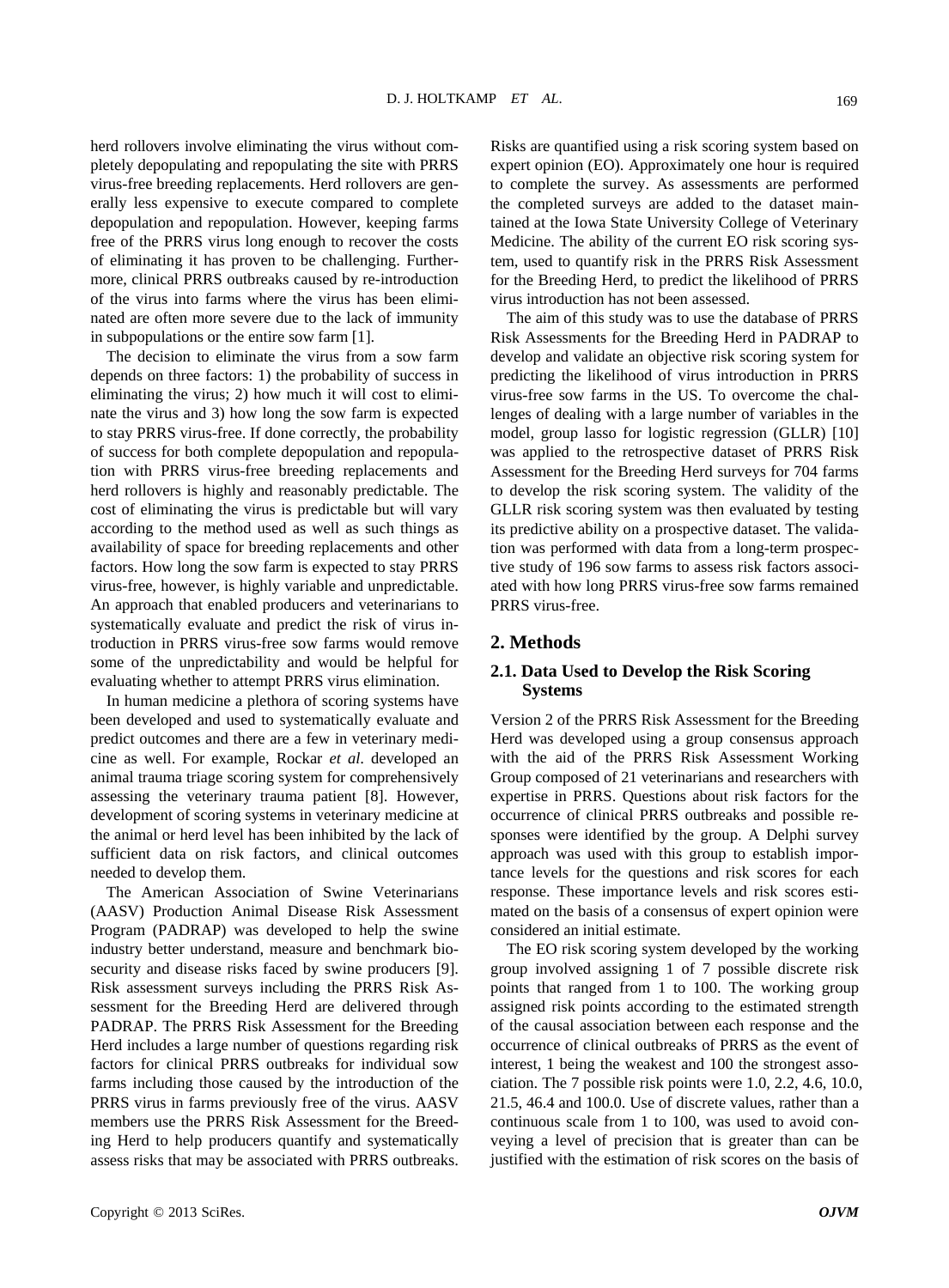herd rollovers involve eliminating the virus without completely depopulating and repopulating the site with PRRS virus-free breeding replacements. Herd rollovers are generally less expensive to execute compared to complete depopulation and repopulation. However, keeping farms free of the PRRS virus long enough to recover the costs of eliminating it has proven to be challenging. Furthermore, clinical PRRS outbreaks caused by re-introduction of the virus into farms where the virus has been eliminated are often more severe due to the lack of immunity in subpopulations or the entire sow farm [1].

The decision to eliminate the virus from a sow farm depends on three factors: 1) the probability of success in eliminating the virus; 2) how much it will cost to eliminate the virus and 3) how long the sow farm is expected to stay PRRS virus-free. If done correctly, the probability of success for both complete depopulation and repopulation with PRRS virus-free breeding replacements and herd rollovers is highly and reasonably predictable. The cost of eliminating the virus is predictable but will vary according to the method used as well as such things as availability of space for breeding replacements and other factors. How long the sow farm is expected to stay PRRS virus-free, however, is highly variable and unpredictable. An approach that enabled producers and veterinarians to systematically evaluate and predict the risk of virus introduction in PRRS virus-free sow farms would remove some of the unpredictability and would be helpful for evaluating whether to attempt PRRS virus elimination.

In human medicine a plethora of scoring systems have been developed and used to systematically evaluate and predict outcomes and there are a few in veterinary medicine as well. For example, Rockar *et al*. developed an animal trauma triage scoring system for comprehensively assessing the veterinary trauma patient [8]. However, development of scoring systems in veterinary medicine at the animal or herd level has been inhibited by the lack of sufficient data on risk factors, and clinical outcomes needed to develop them.

The American Association of Swine Veterinarians (AASV) Production Animal Disease Risk Assessment Program (PADRAP) was developed to help the swine industry better understand, measure and benchmark biosecurity and disease risks faced by swine producers [9]. Risk assessment surveys including the PRRS Risk Assessment for the Breeding Herd are delivered through PADRAP. The PRRS Risk Assessment for the Breeding Herd includes a large number of questions regarding risk factors for clinical PRRS outbreaks for individual sow farms including those caused by the introduction of the PRRS virus in farms previously free of the virus. AASV members use the PRRS Risk Assessment for the Breeding Herd to help producers quantify and systematically assess risks that may be associated with PRRS outbreaks.

Risks are quantified using a risk scoring system based on expert opinion (EO). Approximately one hour is required to complete the survey. As assessments are performed the completed surveys are added to the dataset maintained at the Iowa State University College of Veterinary Medicine. The ability of the current EO risk scoring system, used to quantify risk in the PRRS Risk Assessment for the Breeding Herd, to predict the likelihood of PRRS virus introduction has not been assessed.

The aim of this study was to use the database of PRRS Risk Assessments for the Breeding Herd in PADRAP to develop and validate an objective risk scoring system for predicting the likelihood of virus introduction in PRRS virus-free sow farms in the US. To overcome the challenges of dealing with a large number of variables in the model, group lasso for logistic regression (GLLR) [10] was applied to the retrospective dataset of PRRS Risk Assessment for the Breeding Herd surveys for 704 farms to develop the risk scoring system. The validity of the GLLR risk scoring system was then evaluated by testing its predictive ability on a prospective dataset. The validation was performed with data from a long-term prospective study of 196 sow farms to assess risk factors associated with how long PRRS virus-free sow farms remained PRRS virus-free.

#### **2. Methods**

### **2.1. Data Used to Develop the Risk Scoring Systems**

Version 2 of the PRRS Risk Assessment for the Breeding Herd was developed using a group consensus approach with the aid of the PRRS Risk Assessment Working Group composed of 21 veterinarians and researchers with expertise in PRRS. Questions about risk factors for the occurrence of clinical PRRS outbreaks and possible responses were identified by the group. A Delphi survey approach was used with this group to establish importance levels for the questions and risk scores for each response. These importance levels and risk scores estimated on the basis of a consensus of expert opinion were considered an initial estimate.

The EO risk scoring system developed by the working group involved assigning 1 of 7 possible discrete risk points that ranged from 1 to 100. The working group assigned risk points according to the estimated strength of the causal association between each response and the occurrence of clinical outbreaks of PRRS as the event of interest, 1 being the weakest and 100 the strongest association. The 7 possible risk points were 1.0, 2.2, 4.6, 10.0, 21.5, 46.4 and 100.0. Use of discrete values, rather than a continuous scale from 1 to 100, was used to avoid conveying a level of precision that is greater than can be justified with the estimation of risk scores on the basis of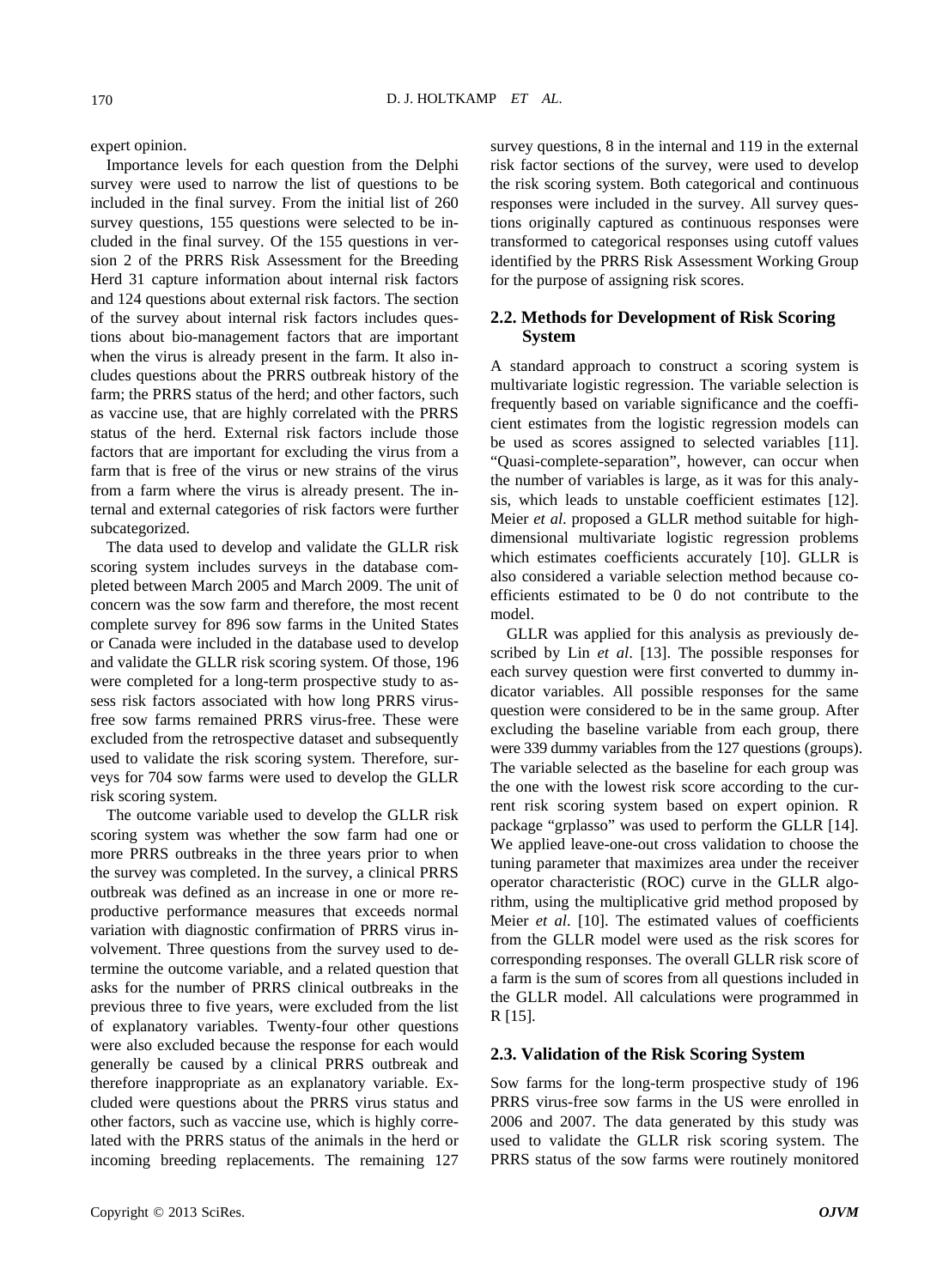expert opinion.

Importance levels for each question from the Delphi survey were used to narrow the list of questions to be included in the final survey. From the initial list of 260 survey questions, 155 questions were selected to be included in the final survey. Of the 155 questions in version 2 of the PRRS Risk Assessment for the Breeding Herd 31 capture information about internal risk factors and 124 questions about external risk factors. The section of the survey about internal risk factors includes questions about bio-management factors that are important when the virus is already present in the farm. It also includes questions about the PRRS outbreak history of the farm; the PRRS status of the herd; and other factors, such as vaccine use, that are highly correlated with the PRRS status of the herd. External risk factors include those factors that are important for excluding the virus from a farm that is free of the virus or new strains of the virus from a farm where the virus is already present. The internal and external categories of risk factors were further subcategorized.

The data used to develop and validate the GLLR risk scoring system includes surveys in the database completed between March 2005 and March 2009. The unit of concern was the sow farm and therefore, the most recent complete survey for 896 sow farms in the United States or Canada were included in the database used to develop and validate the GLLR risk scoring system. Of those, 196 were completed for a long-term prospective study to assess risk factors associated with how long PRRS virusfree sow farms remained PRRS virus-free. These were excluded from the retrospective dataset and subsequently used to validate the risk scoring system. Therefore, surveys for 704 sow farms were used to develop the GLLR risk scoring system.

The outcome variable used to develop the GLLR risk scoring system was whether the sow farm had one or more PRRS outbreaks in the three years prior to when the survey was completed. In the survey, a clinical PRRS outbreak was defined as an increase in one or more reproductive performance measures that exceeds normal variation with diagnostic confirmation of PRRS virus involvement. Three questions from the survey used to determine the outcome variable, and a related question that asks for the number of PRRS clinical outbreaks in the previous three to five years, were excluded from the list of explanatory variables. Twenty-four other questions were also excluded because the response for each would generally be caused by a clinical PRRS outbreak and therefore inappropriate as an explanatory variable. Excluded were questions about the PRRS virus status and other factors, such as vaccine use, which is highly correlated with the PRRS status of the animals in the herd or incoming breeding replacements. The remaining 127

survey questions, 8 in the internal and 119 in the external risk factor sections of the survey, were used to develop the risk scoring system. Both categorical and continuous responses were included in the survey. All survey questions originally captured as continuous responses were transformed to categorical responses using cutoff values identified by the PRRS Risk Assessment Working Group for the purpose of assigning risk scores.

#### **2.2. Methods for Development of Risk Scoring System**

A standard approach to construct a scoring system is multivariate logistic regression. The variable selection is frequently based on variable significance and the coefficient estimates from the logistic regression models can be used as scores assigned to selected variables [11]. "Quasi-complete-separation", however, can occur when the number of variables is large, as it was for this analysis, which leads to unstable coefficient estimates [12]. Meier *et al*. proposed a GLLR method suitable for highdimensional multivariate logistic regression problems which estimates coefficients accurately [10]. GLLR is also considered a variable selection method because coefficients estimated to be 0 do not contribute to the model.

GLLR was applied for this analysis as previously described by Lin *et al*. [13]. The possible responses for each survey question were first converted to dummy indicator variables. All possible responses for the same question were considered to be in the same group. After excluding the baseline variable from each group, there were 339 dummy variables from the 127 questions (groups). The variable selected as the baseline for each group was the one with the lowest risk score according to the current risk scoring system based on expert opinion. R package "grplasso" was used to perform the GLLR [14]. We applied leave-one-out cross validation to choose the tuning parameter that maximizes area under the receiver operator characteristic (ROC) curve in the GLLR algorithm, using the multiplicative grid method proposed by Meier *et al*. [10]. The estimated values of coefficients from the GLLR model were used as the risk scores for corresponding responses. The overall GLLR risk score of a farm is the sum of scores from all questions included in the GLLR model. All calculations were programmed in R [15].

#### **2.3. Validation of the Risk Scoring System**

Sow farms for the long-term prospective study of 196 PRRS virus-free sow farms in the US were enrolled in 2006 and 2007. The data generated by this study was used to validate the GLLR risk scoring system. The PRRS status of the sow farms were routinely monitored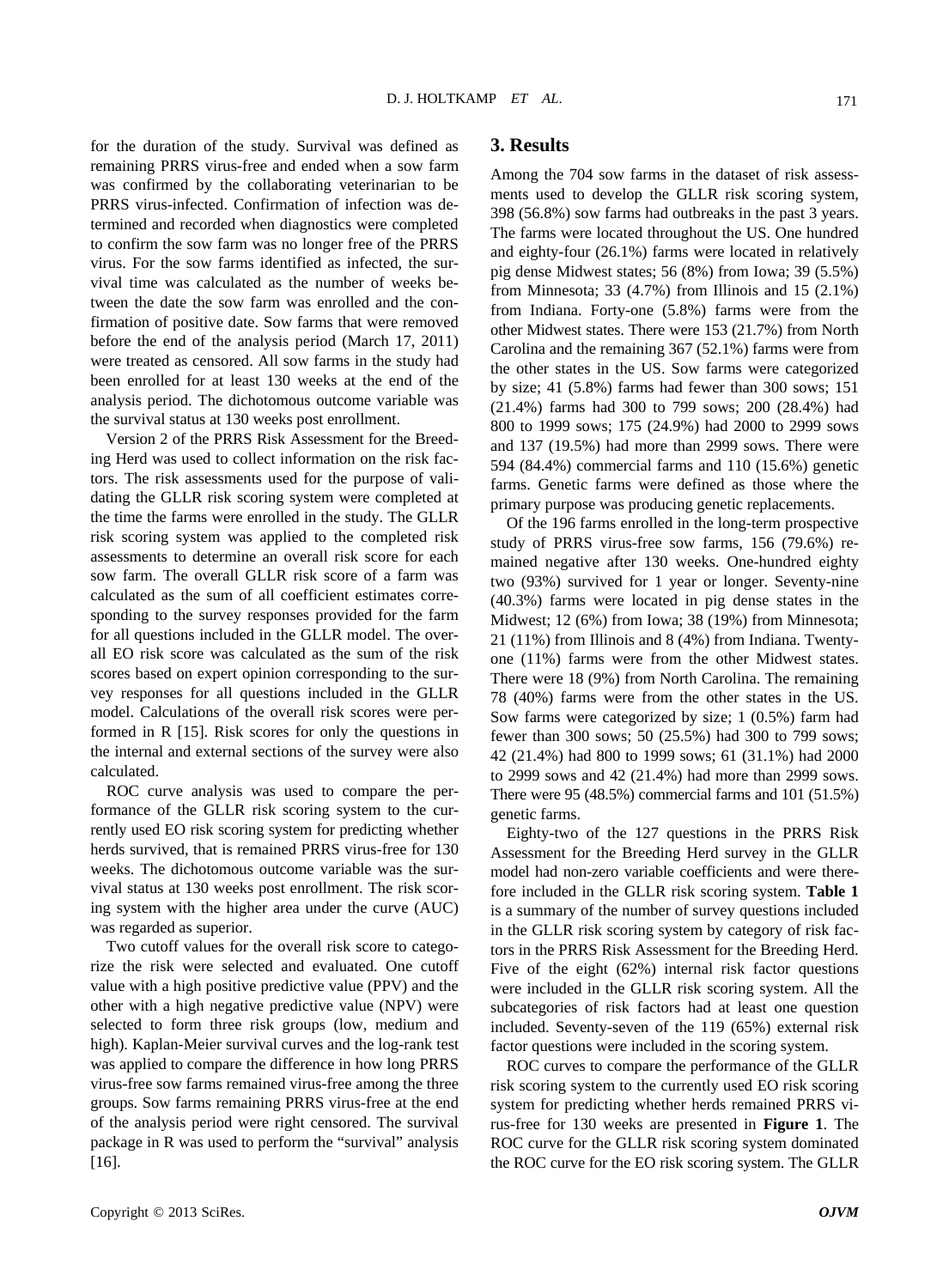for the duration of the study. Survival was defined as remaining PRRS virus-free and ended when a sow farm was confirmed by the collaborating veterinarian to be PRRS virus-infected. Confirmation of infection was determined and recorded when diagnostics were completed to confirm the sow farm was no longer free of the PRRS virus. For the sow farms identified as infected, the survival time was calculated as the number of weeks between the date the sow farm was enrolled and the confirmation of positive date. Sow farms that were removed before the end of the analysis period (March 17, 2011) were treated as censored. All sow farms in the study had been enrolled for at least 130 weeks at the end of the analysis period. The dichotomous outcome variable was the survival status at 130 weeks post enrollment.

Version 2 of the PRRS Risk Assessment for the Breeding Herd was used to collect information on the risk factors. The risk assessments used for the purpose of validating the GLLR risk scoring system were completed at the time the farms were enrolled in the study. The GLLR risk scoring system was applied to the completed risk assessments to determine an overall risk score for each sow farm. The overall GLLR risk score of a farm was calculated as the sum of all coefficient estimates corresponding to the survey responses provided for the farm for all questions included in the GLLR model. The overall EO risk score was calculated as the sum of the risk scores based on expert opinion corresponding to the survey responses for all questions included in the GLLR model. Calculations of the overall risk scores were performed in R [15]. Risk scores for only the questions in the internal and external sections of the survey were also calculated.

ROC curve analysis was used to compare the performance of the GLLR risk scoring system to the currently used EO risk scoring system for predicting whether herds survived, that is remained PRRS virus-free for 130 weeks. The dichotomous outcome variable was the survival status at 130 weeks post enrollment. The risk scoring system with the higher area under the curve (AUC) was regarded as superior.

Two cutoff values for the overall risk score to categorize the risk were selected and evaluated. One cutoff value with a high positive predictive value (PPV) and the other with a high negative predictive value (NPV) were selected to form three risk groups (low, medium and high). Kaplan-Meier survival curves and the log-rank test was applied to compare the difference in how long PRRS virus-free sow farms remained virus-free among the three groups. Sow farms remaining PRRS virus-free at the end of the analysis period were right censored. The survival package in R was used to perform the "survival" analysis [16].

### **3. Results**

Among the 704 sow farms in the dataset of risk assessments used to develop the GLLR risk scoring system, 398 (56.8%) sow farms had outbreaks in the past 3 years. The farms were located throughout the US. One hundred and eighty-four (26.1%) farms were located in relatively pig dense Midwest states; 56 (8%) from Iowa; 39 (5.5%) from Minnesota; 33  $(4.7%)$  from Illinois and 15  $(2.1%)$ from Indiana. Forty-one (5.8%) farms were from the other Midwest states. There were 153 (21.7%) from North Carolina and the remaining 367 (52.1%) farms were from the other states in the US. Sow farms were categorized by size; 41 (5.8%) farms had fewer than 300 sows; 151 (21.4%) farms had 300 to 799 sows; 200 (28.4%) had 800 to 1999 sows; 175 (24.9%) had 2000 to 2999 sows and 137 (19.5%) had more than 2999 sows. There were 594 (84.4%) commercial farms and 110 (15.6%) genetic farms. Genetic farms were defined as those where the primary purpose was producing genetic replacements.

Of the 196 farms enrolled in the long-term prospective study of PRRS virus-free sow farms, 156 (79.6%) remained negative after 130 weeks. One-hundred eighty two (93%) survived for 1 year or longer. Seventy-nine (40.3%) farms were located in pig dense states in the Midwest; 12 (6%) from Iowa; 38 (19%) from Minnesota; 21 (11%) from Illinois and 8 (4%) from Indiana. Twentyone (11%) farms were from the other Midwest states. There were 18 (9%) from North Carolina. The remaining 78 (40%) farms were from the other states in the US. Sow farms were categorized by size; 1 (0.5%) farm had fewer than 300 sows; 50 (25.5%) had 300 to 799 sows; 42 (21.4%) had 800 to 1999 sows; 61 (31.1%) had 2000 to 2999 sows and 42 (21.4%) had more than 2999 sows. There were 95 (48.5%) commercial farms and 101 (51.5%) genetic farms.

Eighty-two of the 127 questions in the PRRS Risk Assessment for the Breeding Herd survey in the GLLR model had non-zero variable coefficients and were therefore included in the GLLR risk scoring system. **Table 1** is a summary of the number of survey questions included in the GLLR risk scoring system by category of risk factors in the PRRS Risk Assessment for the Breeding Herd. Five of the eight (62%) internal risk factor questions were included in the GLLR risk scoring system. All the subcategories of risk factors had at least one question included. Seventy-seven of the 119 (65%) external risk factor questions were included in the scoring system.

ROC curves to compare the performance of the GLLR risk scoring system to the currently used EO risk scoring system for predicting whether herds remained PRRS virus-free for 130 weeks are presented in **Figure 1**. The ROC curve for the GLLR risk scoring system dominated the ROC curve for the EO risk scoring system. The GLLR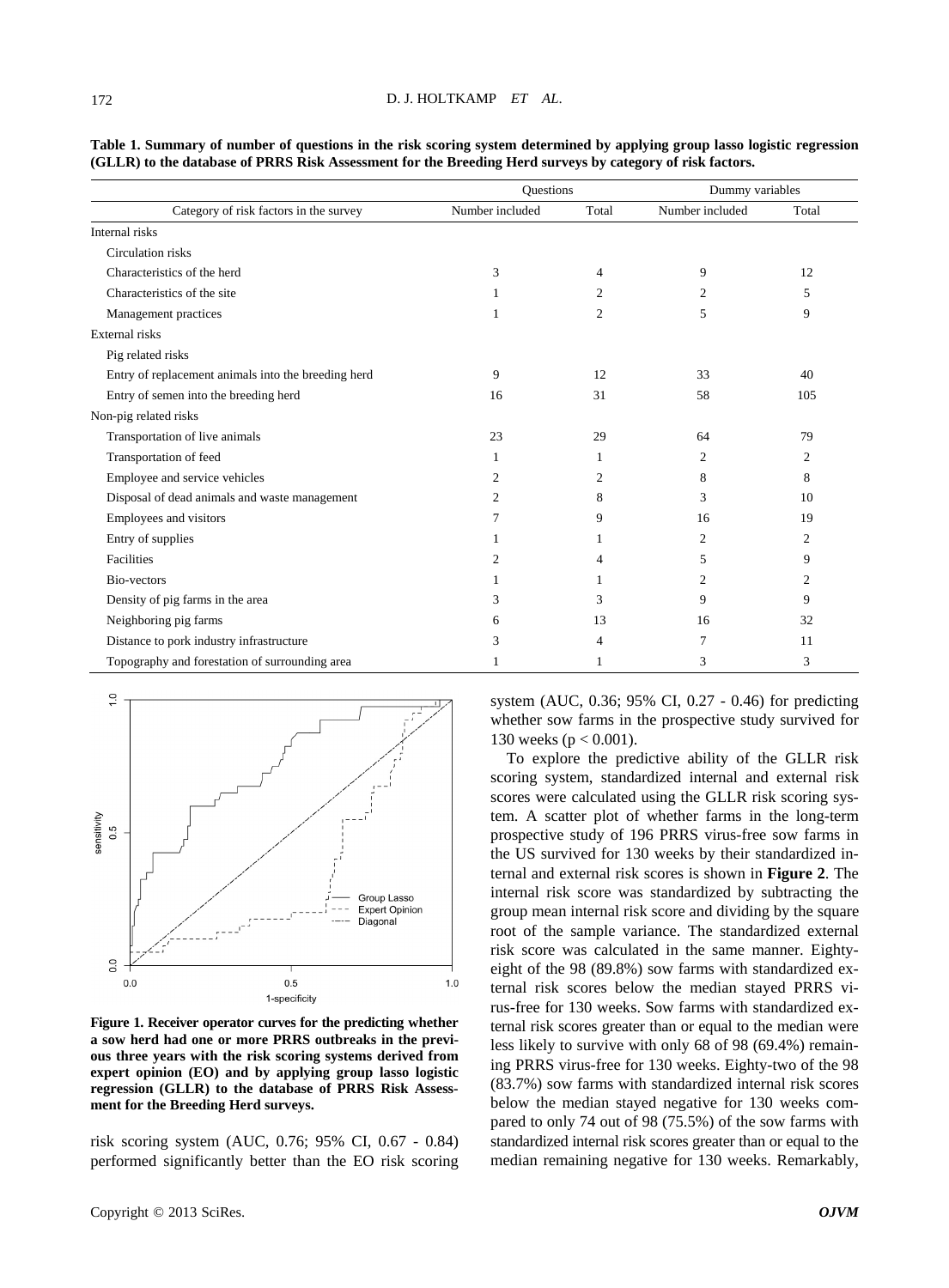#### D. J. HOLTKAMP *ET AL*.

| Category of risk factors in the survey              | Questions       |                | Dummy variables |                |
|-----------------------------------------------------|-----------------|----------------|-----------------|----------------|
|                                                     | Number included | Total          | Number included | Total          |
| Internal risks                                      |                 |                |                 |                |
| Circulation risks                                   |                 |                |                 |                |
| Characteristics of the herd                         | 3               | 4              | 9               | 12             |
| Characteristics of the site                         |                 | 2              | 2               | 5              |
| Management practices                                | 1               | $\overline{c}$ | 5               | 9              |
| External risks                                      |                 |                |                 |                |
| Pig related risks                                   |                 |                |                 |                |
| Entry of replacement animals into the breeding herd | 9               | 12             | 33              | 40             |
| Entry of semen into the breeding herd               | 16              | 31             | 58              | 105            |
| Non-pig related risks                               |                 |                |                 |                |
| Transportation of live animals                      | 23              | 29             | 64              | 79             |
| Transportation of feed                              | 1               | 1              | $\overline{2}$  | $\overline{c}$ |
| Employee and service vehicles                       | 2               | 2              | 8               | 8              |
| Disposal of dead animals and waste management       | 2               | 8              | 3               | 10             |
| Employees and visitors                              | 7               | 9              | 16              | 19             |
| Entry of supplies                                   |                 | 1              | $\overline{c}$  | $\overline{c}$ |
| Facilities                                          | 2               | 4              | 5               | 9              |
| Bio-vectors                                         |                 |                | 2               | 2              |
| Density of pig farms in the area                    | 3               | 3              | 9               | 9              |
| Neighboring pig farms                               | 6               | 13             | 16              | 32             |
| Distance to pork industry infrastructure            | 3               | 4              | 7               | 11             |
| Topography and forestation of surrounding area      |                 |                | 3               | 3              |

**Table 1. Summary of number of questions in the risk scoring system determined by applying group lasso logistic regression (GLLR) to the database of PRRS Risk Assessment for the Breeding Herd surveys by category of risk factors.**



**Figure 1. Receiver operator curves for the predicting whether a sow herd had one or more PRRS outbreaks in the previous three years with the risk scoring systems derived from expert opinion (EO) and by applying group lasso logistic regression (GLLR) to the database of PRRS Risk Assessment for the Breeding Herd surveys.**

risk scoring system (AUC, 0.76; 95% CI, 0.67 - 0.84) performed significantly better than the EO risk scoring

system (AUC, 0.36; 95% CI, 0.27 - 0.46) for predicting whether sow farms in the prospective study survived for 130 weeks (p < 0.001).

To explore the predictive ability of the GLLR risk scoring system, standardized internal and external risk scores were calculated using the GLLR risk scoring system. A scatter plot of whether farms in the long-term prospective study of 196 PRRS virus-free sow farms in the US survived for 130 weeks by their standardized internal and external risk scores is shown in **Figure 2**. The internal risk score was standardized by subtracting the group mean internal risk score and dividing by the square root of the sample variance. The standardized external risk score was calculated in the same manner. Eightyeight of the 98 (89.8%) sow farms with standardized external risk scores below the median stayed PRRS virus-free for 130 weeks. Sow farms with standardized external risk scores greater than or equal to the median were less likely to survive with only 68 of 98 (69.4%) remaining PRRS virus-free for 130 weeks. Eighty-two of the 98 (83.7%) sow farms with standardized internal risk scores below the median stayed negative for 130 weeks compared to only 74 out of 98 (75.5%) of the sow farms with standardized internal risk scores greater than or equal to the median remaining negative for 130 weeks. Remarkably,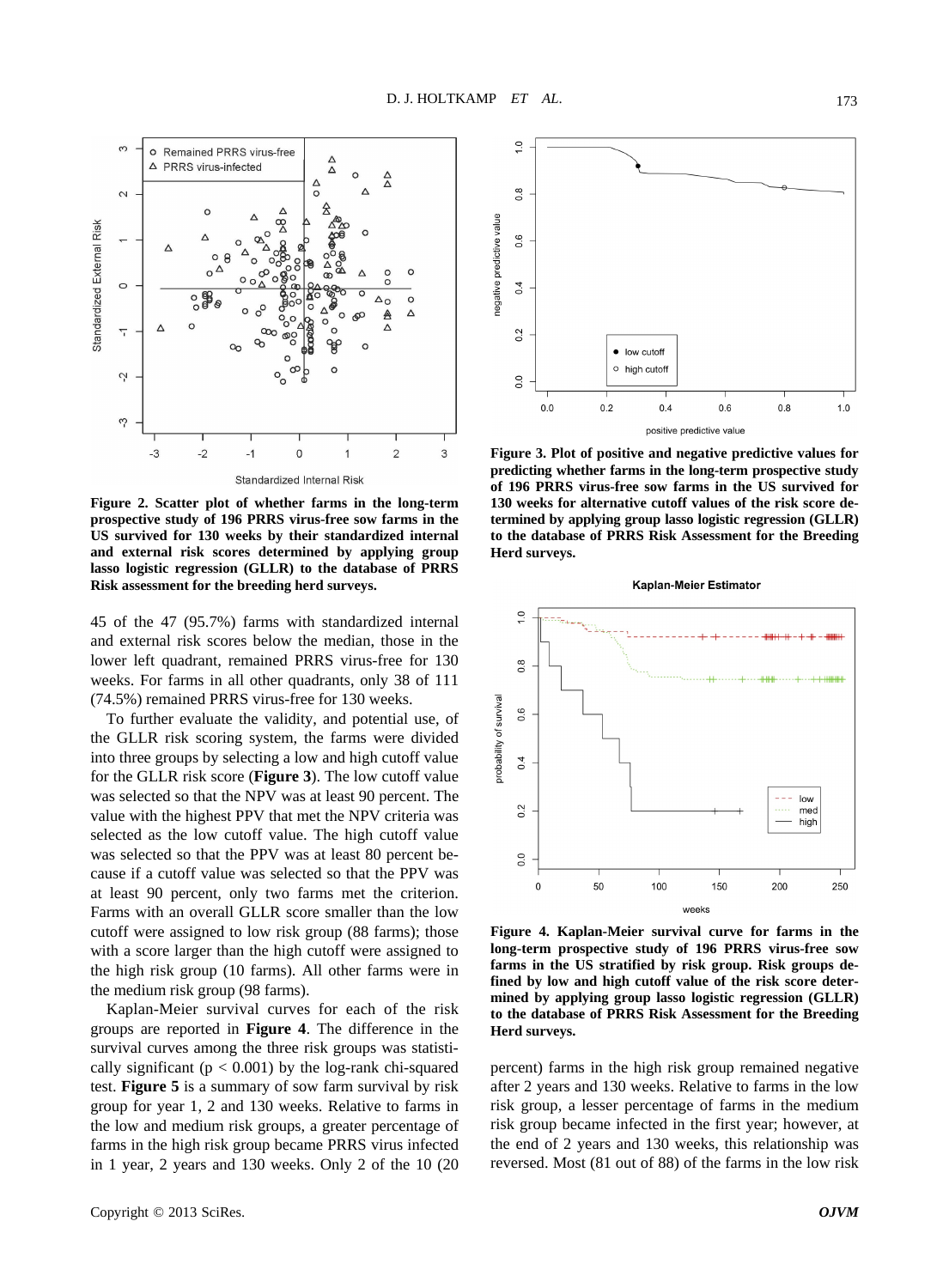

**Figure 2. Scatter plot of whether farms in the long-term prospective study of 196 PRRS virus-free sow farms in the US survived for 130 weeks by their standardized internal and external risk scores determined by applying group lasso logistic regression (GLLR) to the database of PRRS Risk assessment for the breeding herd surveys.**

45 of the 47 (95.7%) farms with standardized internal and external risk scores below the median, those in the lower left quadrant, remained PRRS virus-free for 130 weeks. For farms in all other quadrants, only 38 of 111 (74.5%) remained PRRS virus-free for 130 weeks.

To further evaluate the validity, and potential use, of the GLLR risk scoring system, the farms were divided into three groups by selecting a low and high cutoff value for the GLLR risk score (**Figure 3**). The low cutoff value was selected so that the NPV was at least 90 percent. The value with the highest PPV that met the NPV criteria was selected as the low cutoff value. The high cutoff value was selected so that the PPV was at least 80 percent because if a cutoff value was selected so that the PPV was at least 90 percent, only two farms met the criterion. Farms with an overall GLLR score smaller than the low cutoff were assigned to low risk group (88 farms); those with a score larger than the high cutoff were assigned to the high risk group (10 farms). All other farms were in the medium risk group (98 farms).

Kaplan-Meier survival curves for each of the risk groups are reported in **Figure 4**. The difference in the survival curves among the three risk groups was statistically significant ( $p < 0.001$ ) by the log-rank chi-squared test. **Figure 5** is a summary of sow farm survival by risk group for year 1, 2 and 130 weeks. Relative to farms in the low and medium risk groups, a greater percentage of farms in the high risk group became PRRS virus infected in 1 year, 2 years and 130 weeks. Only 2 of the 10 (20



**Figure 3. Plot of positive and negative predictive values for predicting whether farms in the long-term prospective study of 196 PRRS virus-free sow farms in the US survived for 130 weeks for alternative cutoff values of the risk score determined by applying group lasso logistic regression (GLLR) to the database of PRRS Risk Assessment for the Breeding Herd surveys.**



**Figure 4. Kaplan-Meier survival curve for farms in the long-term prospective study of 196 PRRS virus-free sow farms in the US stratified by risk group. Risk groups defined by low and high cutoff value of the risk score determined by applying group lasso logistic regression (GLLR) to the database of PRRS Risk Assessment for the Breeding Herd surveys.**

percent) farms in the high risk group remained negative after 2 years and 130 weeks. Relative to farms in the low risk group, a lesser percentage of farms in the medium risk group became infected in the first year; however, at the end of 2 years and 130 weeks, this relationship was reversed. Most (81 out of 88) of the farms in the low risk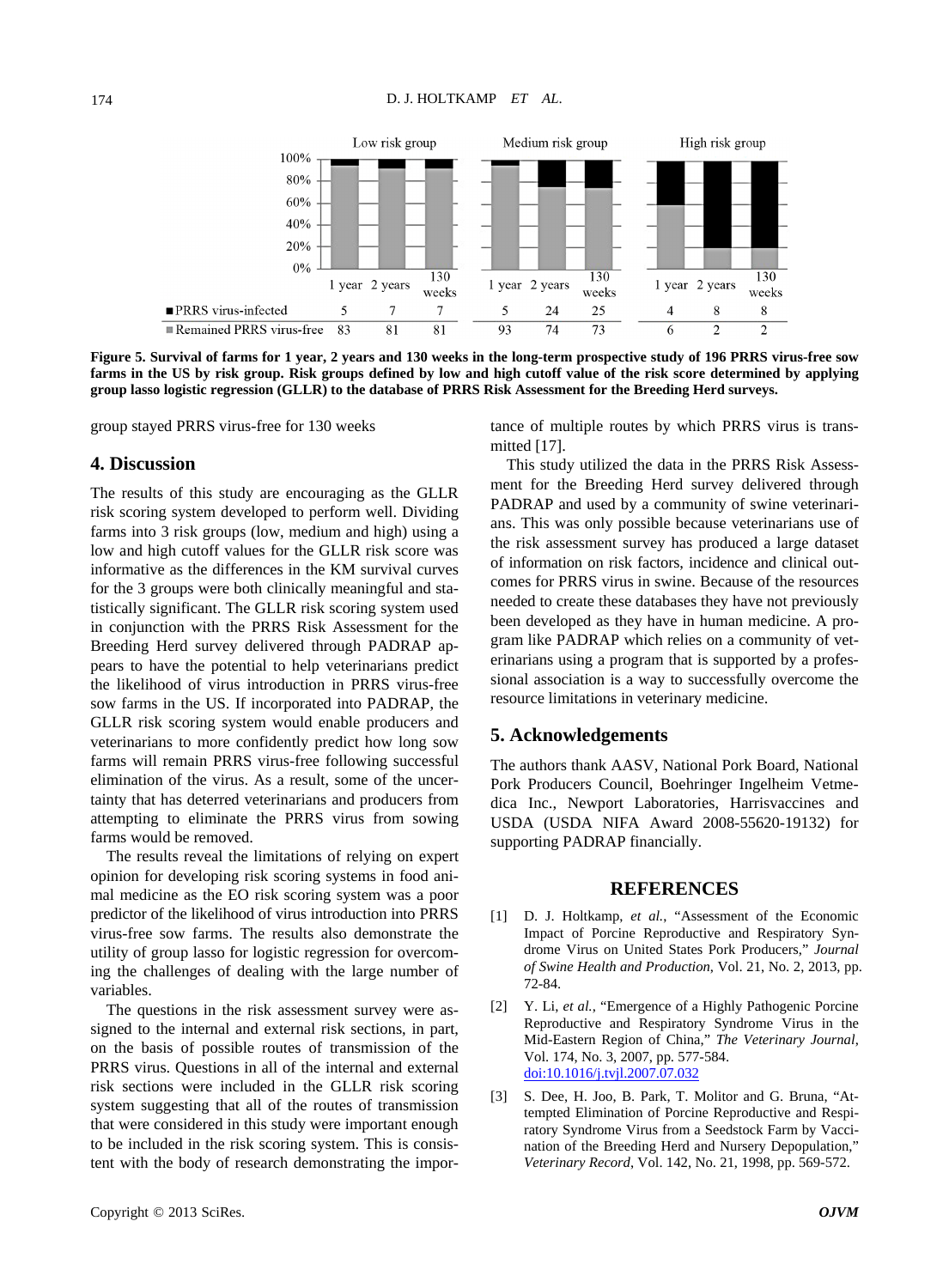

**Figure 5. Survival of farms for 1 year, 2 years and 130 weeks in the long-term prospective study of 196 PRRS virus-free sow farms in the US by risk group. Risk groups defined by low and high cutoff value of the risk score determined by applying group lasso logistic regression (GLLR) to the database of PRRS Risk Assessment for the Breeding Herd surveys.**

group stayed PRRS virus-free for 130 weeks

### **4. Discussion**

The results of this study are encouraging as the GLLR risk scoring system developed to perform well. Dividing farms into 3 risk groups (low, medium and high) using a low and high cutoff values for the GLLR risk score was informative as the differences in the KM survival curves for the 3 groups were both clinically meaningful and statistically significant. The GLLR risk scoring system used in conjunction with the PRRS Risk Assessment for the Breeding Herd survey delivered through PADRAP appears to have the potential to help veterinarians predict the likelihood of virus introduction in PRRS virus-free sow farms in the US. If incorporated into PADRAP, the GLLR risk scoring system would enable producers and veterinarians to more confidently predict how long sow farms will remain PRRS virus-free following successful elimination of the virus. As a result, some of the uncertainty that has deterred veterinarians and producers from attempting to eliminate the PRRS virus from sowing farms would be removed.

The results reveal the limitations of relying on expert opinion for developing risk scoring systems in food animal medicine as the EO risk scoring system was a poor predictor of the likelihood of virus introduction into PRRS virus-free sow farms. The results also demonstrate the utility of group lasso for logistic regression for overcoming the challenges of dealing with the large number of variables.

The questions in the risk assessment survey were assigned to the internal and external risk sections, in part, on the basis of possible routes of transmission of the PRRS virus. Questions in all of the internal and external risk sections were included in the GLLR risk scoring system suggesting that all of the routes of transmission that were considered in this study were important enough to be included in the risk scoring system. This is consistent with the body of research demonstrating the importance of multiple routes by which PRRS virus is transmitted [17].

This study utilized the data in the PRRS Risk Assessment for the Breeding Herd survey delivered through PADRAP and used by a community of swine veterinarians. This was only possible because veterinarians use of the risk assessment survey has produced a large dataset of information on risk factors, incidence and clinical outcomes for PRRS virus in swine. Because of the resources needed to create these databases they have not previously been developed as they have in human medicine. A program like PADRAP which relies on a community of veterinarians using a program that is supported by a professional association is a way to successfully overcome the resource limitations in veterinary medicine.

## **5. Acknowledgements**

The authors thank AASV, National Pork Board, National Pork Producers Council, Boehringer Ingelheim Vetmedica Inc., Newport Laboratories, Harrisvaccines and USDA (USDA NIFA Award 2008-55620-19132) for supporting PADRAP financially.

#### **REFERENCES**

- [1] D. J. Holtkamp, *et al.*, "Assessment of the Economic Impact of Porcine Reproductive and Respiratory Syndrome Virus on United States Pork Producers," *Journal of Swine Health and Production*, Vol. 21, No. 2, 2013, pp. 72-84.
- [2] Y. Li, *et al.*, "Emergence of a Highly Pathogenic Porcine Reproductive and Respiratory Syndrome Virus in the Mid-Eastern Region of China," *The Veterinary Journal*, Vol. 174, No. 3, 2007, pp. 577-584. [doi:10.1016/j.tvjl.2007.07.032](http://dx.doi.org/10.1016/j.tvjl.2007.07.032)
- [3] S. Dee, H. Joo, B. Park, T. Molitor and G. Bruna, "Attempted Elimination of Porcine Reproductive and Respiratory Syndrome Virus from a Seedstock Farm by Vaccination of the Breeding Herd and Nursery Depopulation," *Veterinary Record*, Vol. 142, No. 21, 1998, pp. 569-572.